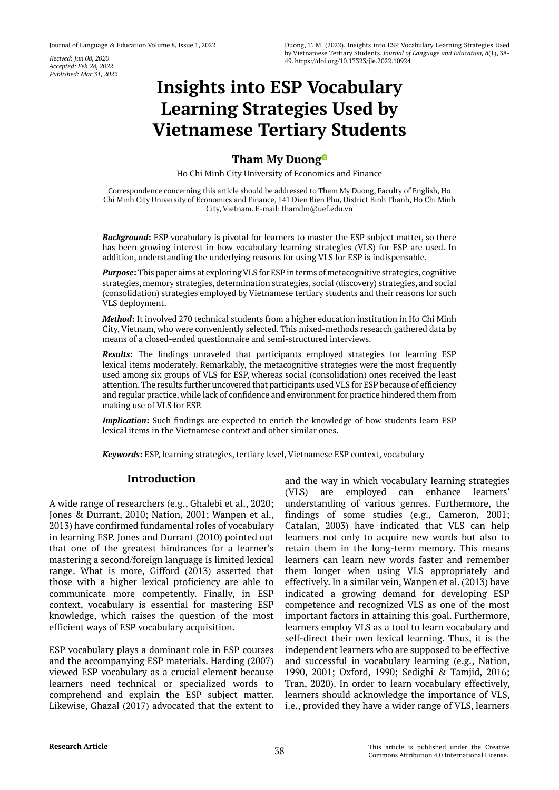*Accepted: Feb 28, 2022 Published: Mar 31, 2022*

# **Insights into ESP Vocabulary Learning Strategies Used by Vietnamese Tertiary Students**

# **Tham My Duon[g](https://orcid.org/0000-0002-1152-485X)**

Ho Chi Minh City University of Economics and Finance

Correspondence concerning this article should be addressed to Tham My Duong, Faculty of English, Ho Chi Minh City University of Economics and Finance, 141 Dien Bien Phu, District Binh Thanh, Ho Chi Minh City, Vietnam. E-mail: thamdm@uef.edu.vn

*Background***:** ESP vocabulary is pivotal for learners to master the ESP subject matter, so there has been growing interest in how vocabulary learning strategies (VLS) for ESP are used. In addition, understanding the underlying reasons for using VLS for ESP is indispensable.

*Purpose***:** This paper aims at exploring VLS for ESP in terms of metacognitive strategies, cognitive strategies, memory strategies, determination strategies, social (discovery) strategies, and social (consolidation) strategies employed by Vietnamese tertiary students and their reasons for such VLS deployment.

*Method***:** It involved 270 technical students from a higher education institution in Ho Chi Minh City, Vietnam, who were conveniently selected. This mixed-methods research gathered data by means of a closed-ended questionnaire and semi-structured interviews.

*Results***:** The findings unraveled that participants employed strategies for learning ESP lexical items moderately. Remarkably, the metacognitive strategies were the most frequently used among six groups of VLS for ESP, whereas social (consolidation) ones received the least attention. The results further uncovered that participants used VLS for ESP because of efficiency and regular practice, while lack of confidence and environment for practice hindered them from making use of VLS for ESP.

*Implication*: Such findings are expected to enrich the knowledge of how students learn ESP lexical items in the Vietnamese context and other similar ones.

*Keywords***:** ESP, learning strategies, tertiary level, Vietnamese ESP context, vocabulary

# **Introduction**

A wide range of researchers (e.g., Ghalebi et al., 2020; Jones & Durrant, 2010; Nation, 2001; Wanpen et al., 2013) have confirmed fundamental roles of vocabulary in learning ESP. Jones and Durrant (2010) pointed out that one of the greatest hindrances for a learner's mastering a second/foreign language is limited lexical range. What is more, Gifford (2013) asserted that those with a higher lexical proficiency are able to communicate more competently. Finally, in ESP context, vocabulary is essential for mastering ESP knowledge, which raises the question of the most efficient ways of ESP vocabulary acquisition.

ESP vocabulary plays a dominant role in ESP courses and the accompanying ESP materials. Harding (2007) viewed ESP vocabulary as a crucial element because learners need technical or specialized words to comprehend and explain the ESP subject matter. Likewise, Ghazal (2017) advocated that the extent to

and the way in which vocabulary learning strategies (VLS) are employed can enhance learners' understanding of various genres. Furthermore, the findings of some studies (e.g., Cameron, 2001; Catalan, 2003) have indicated that VLS can help learners not only to acquire new words but also to retain them in the long-term memory. This means learners can learn new words faster and remember them longer when using VLS appropriately and effectively. In a similar vein, Wanpen et al. (2013) have indicated a growing demand for developing ESP competence and recognized VLS as one of the most important factors in attaining this goal. Furthermore, learners employ VLS as a tool to learn vocabulary and self-direct their own lexical learning. Thus, it is the independent learners who are supposed to be effective and successful in vocabulary learning (e.g., Nation, 1990, 2001; Oxford, 1990; Sedighi & Tamjid, 2016; Tran, 2020). In order to learn vocabulary effectively, learners should acknowledge the importance of VLS, i.e., provided they have a wider range of VLS, learners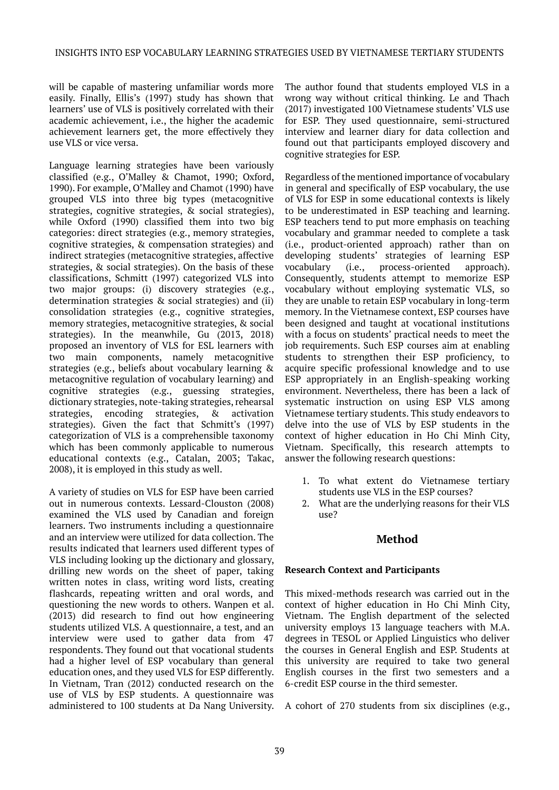will be capable of mastering unfamiliar words more easily. Finally, Ellis's (1997) study has shown that learners' use of VLS is positively correlated with their academic achievement, i.e., the higher the academic achievement learners get, the more effectively they use VLS or vice versa.

Language learning strategies have been variously classified (e.g., O'Malley & Chamot, 1990; Oxford, 1990). For example, O'Malley and Chamot (1990) have grouped VLS into three big types (metacognitive strategies, cognitive strategies, & social strategies), while Oxford (1990) classified them into two big categories: direct strategies (e.g., memory strategies, cognitive strategies, & compensation strategies) and indirect strategies (metacognitive strategies, affective strategies, & social strategies). On the basis of these classifications, Schmitt (1997) categorized VLS into two major groups: (i) discovery strategies (e.g., determination strategies & social strategies) and (ii) consolidation strategies (e.g., cognitive strategies, memory strategies, metacognitive strategies, & social strategies). In the meanwhile, Gu (2013, 2018) proposed an inventory of VLS for ESL learners with two main components, namely metacognitive strategies (e.g., beliefs about vocabulary learning & metacognitive regulation of vocabulary learning) and cognitive strategies (e.g., guessing strategies, dictionary strategies, note-taking strategies, rehearsal strategies, encoding strategies, & activation strategies). Given the fact that Schmitt's (1997) categorization of VLS is a comprehensible taxonomy which has been commonly applicable to numerous educational contexts (e.g., Catalan, 2003; Takac, 2008), it is employed in this study as well.

A variety of studies on VLS for ESP have been carried out in numerous contexts. Lessard-Clouston (2008) examined the VLS used by Canadian and foreign learners. Two instruments including a questionnaire and an interview were utilized for data collection. The results indicated that learners used different types of VLS including looking up the dictionary and glossary, drilling new words on the sheet of paper, taking written notes in class, writing word lists, creating flashcards, repeating written and oral words, and questioning the new words to others. Wanpen et al. (2013) did research to find out how engineering students utilized VLS. A questionnaire, a test, and an interview were used to gather data from 47 respondents. They found out that vocational students had a higher level of ESP vocabulary than general education ones, and they used VLS for ESP differently. In Vietnam, Tran (2012) conducted research on the use of VLS by ESP students. A questionnaire was administered to 100 students at Da Nang University.

The author found that students employed VLS in a wrong way without critical thinking. Le and Thach (2017) investigated 100 Vietnamese students' VLS use for ESP. They used questionnaire, semi-structured interview and learner diary for data collection and found out that participants employed discovery and cognitive strategies for ESP.

Regardless of the mentioned importance of vocabulary in general and specifically of ESP vocabulary, the use of VLS for ESP in some educational contexts is likely to be underestimated in ESP teaching and learning. ESP teachers tend to put more emphasis on teaching vocabulary and grammar needed to complete a task (i.e., product-oriented approach) rather than on developing students' strategies of learning ESP vocabulary (i.e., process-oriented approach). Consequently, students attempt to memorize ESP vocabulary without employing systematic VLS, so they are unable to retain ESP vocabulary in long-term memory. In the Vietnamese context, ESP courses have been designed and taught at vocational institutions with a focus on students' practical needs to meet the job requirements. Such ESP courses aim at enabling students to strengthen their ESP proficiency, to acquire specific professional knowledge and to use ESP appropriately in an English-speaking working environment. Nevertheless, there has been a lack of systematic instruction on using ESP VLS among Vietnamese tertiary students. This study endeavors to delve into the use of VLS by ESP students in the context of higher education in Ho Chi Minh City, Vietnam. Specifically, this research attempts to answer the following research questions:

- 1. To what extent do Vietnamese tertiary students use VLS in the ESP courses?
- 2. What are the underlying reasons for their VLS use?

# **Method**

## **Research Context and Participants**

This mixed-methods research was carried out in the context of higher education in Ho Chi Minh City, Vietnam. The English department of the selected university employs 13 language teachers with M.A. degrees in TESOL or Applied Linguistics who deliver the courses in General English and ESP. Students at this university are required to take two general English courses in the first two semesters and a 6-credit ESP course in the third semester.

A cohort of 270 students from six disciplines (e.g.,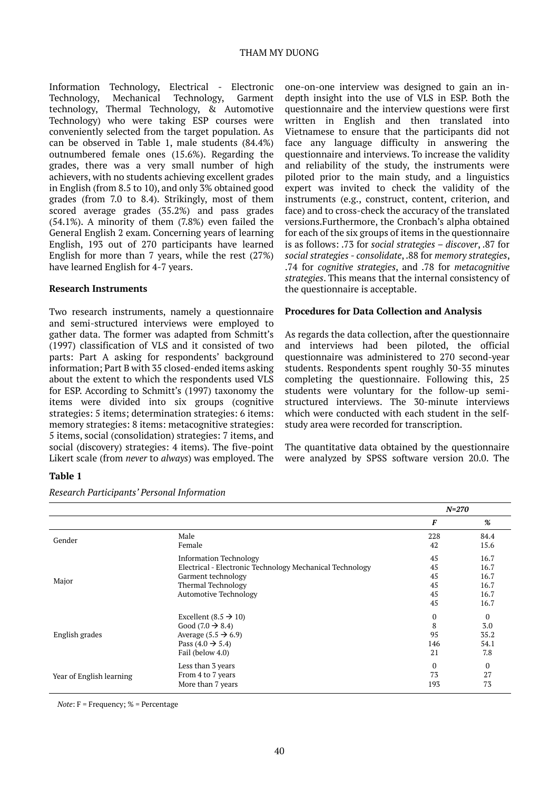#### THAM MY DUONG

Information Technology, Electrical - Electronic Technology, Mechanical Technology, Garment technology, Thermal Technology, & Automotive Technology) who were taking ESP courses were conveniently selected from the target population. As can be observed in Table 1, male students (84.4%) outnumbered female ones (15.6%). Regarding the grades, there was a very small number of high achievers, with no students achieving excellent grades in English (from 8.5 to 10), and only 3% obtained good grades (from 7.0 to 8.4). Strikingly, most of them scored average grades (35.2%) and pass grades (54.1%). A minority of them (7.8%) even failed the General English 2 exam. Concerning years of learning English, 193 out of 270 participants have learned English for more than 7 years, while the rest (27%) have learned English for 4-7 years.

#### **Research Instruments**

**Table 1**

Two research instruments, namely a questionnaire and semi-structured interviews were employed to gather data. The former was adapted from Schmitt's (1997) classification of VLS and it consisted of two parts: Part A asking for respondents' background information; Part B with 35 closed-ended items asking about the extent to which the respondents used VLS for ESP. According to Schmitt's (1997) taxonomy the items were divided into six groups (cognitive strategies: 5 items; determination strategies: 6 items: memory strategies: 8 items: metacognitive strategies: 5 items, social (consolidation) strategies: 7 items, and social (discovery) strategies: 4 items). The five-point Likert scale (from *never* to *always*) was employed. The

one-on-one interview was designed to gain an indepth insight into the use of VLS in ESP. Both the questionnaire and the interview questions were first written in English and then translated into Vietnamese to ensure that the participants did not face any language difficulty in answering the questionnaire and interviews. To increase the validity and reliability of the study, the instruments were piloted prior to the main study, and a linguistics expert was invited to check the validity of the instruments (e.g., construct, content, criterion, and face) and to cross-check the accuracy of the translated versions.Furthermore, the Cronbach's alpha obtained for each of the six groups of items in the questionnaire is as follows: .73 for *social strategies – discover*, .87 for *social strategies - consolidate*, .88 for *memory strategies*, .74 for *cognitive strategies*, and .78 for *metacognitive strategies*. This means that the internal consistency of the questionnaire is acceptable.

#### **Procedures for Data Collection and Analysis**

As regards the data collection, after the questionnaire and interviews had been piloted, the official questionnaire was administered to 270 second-year students. Respondents spent roughly 30-35 minutes completing the questionnaire. Following this, 25 students were voluntary for the follow-up semistructured interviews. The 30-minute interviews which were conducted with each student in the selfstudy area were recorded for transcription.

The quantitative data obtained by the questionnaire were analyzed by SPSS software version 20.0. The

|                          |                                                          | $N = 270$        |              |
|--------------------------|----------------------------------------------------------|------------------|--------------|
|                          |                                                          | $\boldsymbol{F}$ | %            |
| Gender                   | Male                                                     | 228              | 84.4         |
|                          | Female                                                   | 42               | 15.6         |
|                          | <b>Information Technology</b>                            | 45               | 16.7         |
|                          | Electrical - Electronic Technology Mechanical Technology | 45               | 16.7         |
| Major                    | Garment technology                                       | 45               | 16.7         |
|                          | Thermal Technology                                       | 45               | 16.7         |
|                          | <b>Automotive Technology</b>                             | 45               | 16.7         |
|                          |                                                          | 45               | 16.7         |
|                          | Excellent $(8.5 \rightarrow 10)$                         | 0                | $\bf{0}$     |
|                          | Good $(7.0 \rightarrow 8.4)$                             | 8                | 3.0          |
| English grades           | Average $(5.5 \rightarrow 6.9)$                          | 95               | 35.2         |
|                          | Pass $(4.0 \rightarrow 5.4)$                             | 146              | 54.1         |
|                          | Fail (below 4.0)                                         | 21               | 7.8          |
|                          | Less than 3 years                                        | $\mathbf{0}$     | $\mathbf{0}$ |
| Year of English learning | From 4 to 7 years                                        | 73               | 27           |
|                          | More than 7 years                                        | 193              | 73           |

*Research Participants' Personal Information*

*Note*: F = Frequency; % = Percentage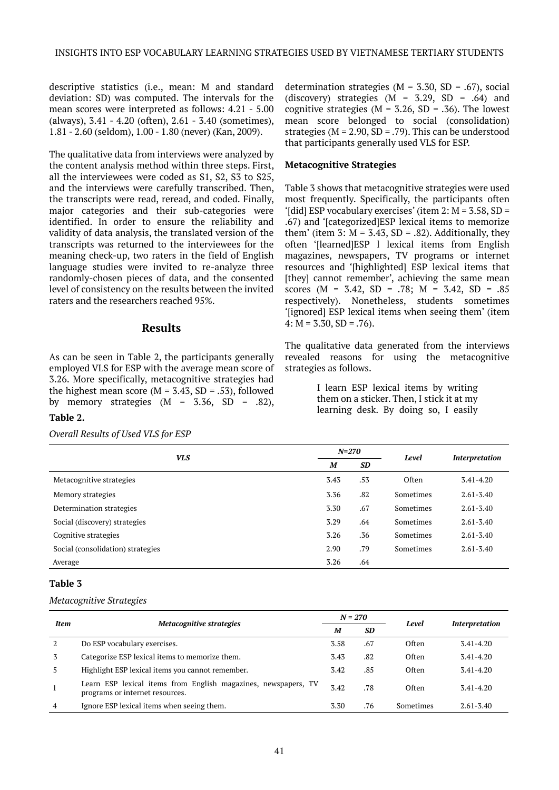descriptive statistics (i.e., mean: M and standard deviation: SD) was computed. The intervals for the mean scores were interpreted as follows: 4.21 - 5.00 (always), 3.41 - 4.20 (often), 2.61 - 3.40 (sometimes), 1.81 - 2.60 (seldom), 1.00 - 1.80 (never) (Kan, 2009).

The qualitative data from interviews were analyzed by the content analysis method within three steps. First, all the interviewees were coded as S1, S2, S3 to S25, and the interviews were carefully transcribed. Then, the transcripts were read, reread, and coded. Finally, major categories and their sub-categories were identified. In order to ensure the reliability and validity of data analysis, the translated version of the transcripts was returned to the interviewees for the meaning check-up, two raters in the field of English language studies were invited to re-analyze three randomly-chosen pieces of data, and the consented level of consistency on the results between the invited raters and the researchers reached 95%.

## **Results**

As can be seen in Table 2, the participants generally employed VLS for ESP with the average mean score of 3.26. More specifically, metacognitive strategies had the highest mean score ( $M = 3.43$ , SD = .53), followed by memory strategies  $(M = 3.36, SD = .82)$ , learning desk. By doing so, I easily **Table 2.**

*Overall Results of Used VLS for ESP*

determination strategies ( $M = 3.30$ , SD = .67), social (discovery) strategies  $(M = 3.29, SD = .64)$  and cognitive strategies ( $M = 3.26$ ,  $SD = .36$ ). The lowest mean score belonged to social (consolidation) strategies ( $M = 2.90$ ,  $SD = .79$ ). This can be understood that participants generally used VLS for ESP.

#### **Metacognitive Strategies**

Table 3 shows that metacognitive strategies were used most frequently. Specifically, the participants often '[did] ESP vocabulary exercises' (item  $2: M = 3.58$ , SD = .67) and '[categorized]ESP lexical items to memorize them' (item  $3: M = 3.43$ ,  $SD = .82$ ). Additionally, they often '[learned]ESP l lexical items from English magazines, newspapers, TV programs or internet resources and '[highlighted] ESP lexical items that [they] cannot remember', achieving the same mean scores (M = 3.42, SD = .78; M = 3.42, SD = .85 respectively). Nonetheless, students sometimes '[ignored] ESP lexical items when seeing them' (item  $4: M = 3.30, SD = .76$ .

The qualitative data generated from the interviews revealed reasons for using the metacognitive strategies as follows.

> I learn ESP lexical items by writing them on a sticker. Then, I stick it at my

|                                   | $N = 270$ |     |           |                       |
|-----------------------------------|-----------|-----|-----------|-----------------------|
| VLS                               | M         | SD  | Level     | <b>Interpretation</b> |
| Metacognitive strategies          | 3.43      | .53 | Often     | $3.41 - 4.20$         |
| Memory strategies                 | 3.36      | .82 | Sometimes | $2.61 - 3.40$         |
| Determination strategies          | 3.30      | .67 | Sometimes | $2.61 - 3.40$         |
| Social (discovery) strategies     | 3.29      | .64 | Sometimes | $2.61 - 3.40$         |
| Cognitive strategies              | 3.26      | .36 | Sometimes | $2.61 - 3.40$         |
| Social (consolidation) strategies | 2.90      | .79 | Sometimes | $2.61 - 3.40$         |
| Average                           | 3.26      | .64 |           |                       |

## **Table 3**

#### *Metacognitive Strategies*

|                | <b>Metacognitive strategies</b>                                                                   |      | $N = 270$ |                  |                       |
|----------------|---------------------------------------------------------------------------------------------------|------|-----------|------------------|-----------------------|
| Item           |                                                                                                   |      | <b>SD</b> | Level            | <i>Interpretation</i> |
| 2              | Do ESP vocabulary exercises.                                                                      | 3.58 | .67       | Often            | $3.41 - 4.20$         |
| 3              | Categorize ESP lexical items to memorize them.                                                    | 3.43 | .82       | Often            | $3.41 - 4.20$         |
|                | Highlight ESP lexical items you cannot remember.                                                  | 3.42 | .85       | Often            | $3.41 - 4.20$         |
|                | Learn ESP lexical items from English magazines, newspapers, TV<br>programs or internet resources. | 3.42 | .78       | Often            | $3.41 - 4.20$         |
| $\overline{4}$ | Ignore ESP lexical items when seeing them.                                                        | 3.30 | .76       | <b>Sometimes</b> | $2.61 - 3.40$         |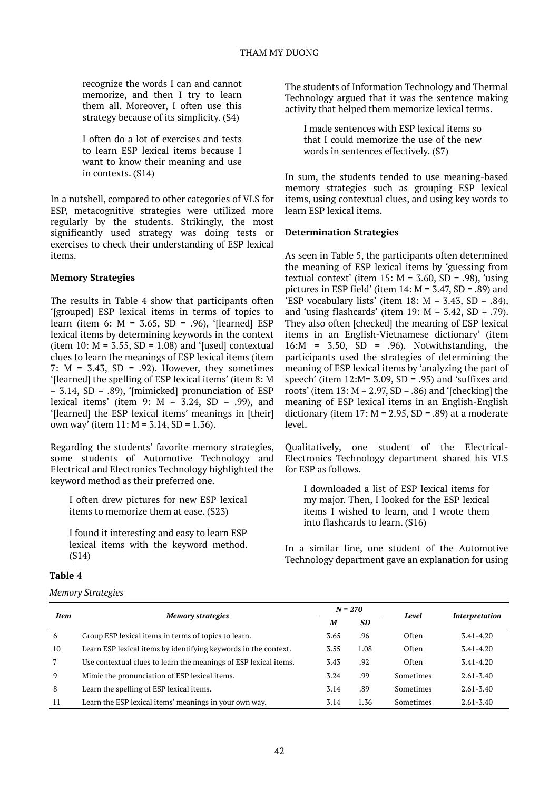recognize the words I can and cannot memorize, and then I try to learn them all. Moreover, I often use this strategy because of its simplicity. (S4)

I often do a lot of exercises and tests to learn ESP lexical items because I want to know their meaning and use in contexts. (S14)

In a nutshell, compared to other categories of VLS for ESP, metacognitive strategies were utilized more regularly by the students. Strikingly, the most significantly used strategy was doing tests or exercises to check their understanding of ESP lexical items.

## **Memory Strategies**

The results in Table 4 show that participants often '[grouped] ESP lexical items in terms of topics to learn (item 6: M = 3.65, SD = .96), '[learned] ESP lexical items by determining keywords in the context (item 10:  $M = 3.55$ ,  $SD = 1.08$ ) and '[used] contextual clues to learn the meanings of ESP lexical items (item 7:  $M = 3.43$ ,  $SD = .92$ ). However, they sometimes '[learned] the spelling of ESP lexical items' (item 8: M = 3.14, SD = .89), '[mimicked] pronunciation of ESP lexical items' (item 9:  $M = 3.24$ ,  $SD = .99$ ), and '[learned] the ESP lexical items' meanings in [their] own way' (item  $11: M = 3.14$ , SD = 1.36).

Regarding the students' favorite memory strategies, some students of Automotive Technology and Electrical and Electronics Technology highlighted the keyword method as their preferred one.

I often drew pictures for new ESP lexical items to memorize them at ease. (S23)

I found it interesting and easy to learn ESP lexical items with the keyword method. (S14)

## **Table 4**

*Memory Strategies*

The students of Information Technology and Thermal Technology argued that it was the sentence making activity that helped them memorize lexical terms.

I made sentences with ESP lexical items so that I could memorize the use of the new words in sentences effectively. (S7)

In sum, the students tended to use meaning-based memory strategies such as grouping ESP lexical items, using contextual clues, and using key words to learn ESP lexical items.

#### **Determination Strategies**

As seen in Table 5, the participants often determined the meaning of ESP lexical items by 'guessing from textual context' (item  $15$ : M = 3.60, SD = .98), 'using pictures in ESP field' (item  $14$ : M = 3.47, SD = .89) and 'ESP vocabulary lists' (item  $18: M = 3.43$ , SD = .84), and 'using flashcards' (item 19:  $M = 3.42$ , SD = .79). They also often [checked] the meaning of ESP lexical items in an English-Vietnamese dictionary' (item  $16: M = 3.50$ ,  $SD = .96$ . Notwithstanding, the participants used the strategies of determining the meaning of ESP lexical items by 'analyzing the part of speech' (item  $12:M= 3.09$ , SD = .95) and 'suffixes and roots' (item  $13$ :  $M = 2.97$ ,  $SD = .86$ ) and '[checking] the meaning of ESP lexical items in an English-English dictionary (item  $17: M = 2.95$ , SD = .89) at a moderate level.

Qualitatively, one student of the Electrical-Electronics Technology department shared his VLS for ESP as follows.

I downloaded a list of ESP lexical items for my major. Then, I looked for the ESP lexical items I wished to learn, and I wrote them into flashcards to learn. (S16)

In a similar line, one student of the Automotive Technology department gave an explanation for using

|             | <b>Memory strategies</b>                                         |      | $N = 270$ |           |                       |
|-------------|------------------------------------------------------------------|------|-----------|-----------|-----------------------|
| Item        |                                                                  |      | <b>SD</b> | Level     | <i>Interpretation</i> |
| 6           | Group ESP lexical items in terms of topics to learn.             | 3.65 | .96       | Often     | $3.41 - 4.20$         |
| 10          | Learn ESP lexical items by identifying keywords in the context.  | 3.55 | 1.08      | Often     | $3.41 - 4.20$         |
| $7^{\circ}$ | Use contextual clues to learn the meanings of ESP lexical items. | 3.43 | .92       | Often     | $3.41 - 4.20$         |
| 9           | Mimic the pronunciation of ESP lexical items.                    | 3.24 | .99       | Sometimes | $2.61 - 3.40$         |
| 8           | Learn the spelling of ESP lexical items.                         | 3.14 | .89       | Sometimes | $2.61 - 3.40$         |
| 11          | Learn the ESP lexical items' meanings in your own way.           | 3.14 | 1.36      | Sometimes | $2.61 - 3.40$         |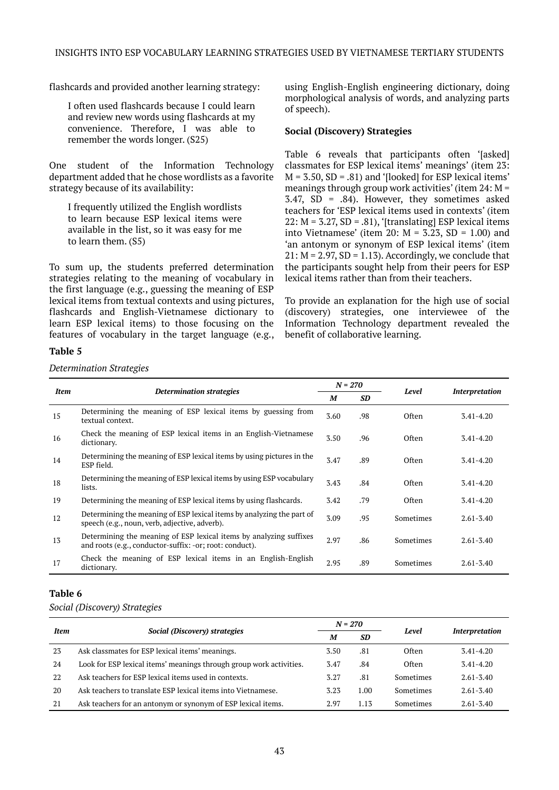flashcards and provided another learning strategy:

I often used flashcards because I could learn and review new words using flashcards at my convenience. Therefore, I was able to remember the words longer. (S25)

One student of the Information Technology department added that he chose wordlists as a favorite strategy because of its availability:

I frequently utilized the English wordlists to learn because ESP lexical items were available in the list, so it was easy for me to learn them. (S5)

To sum up, the students preferred determination strategies relating to the meaning of vocabulary in the first language (e.g., guessing the meaning of ESP lexical items from textual contexts and using pictures, flashcards and English-Vietnamese dictionary to learn ESP lexical items) to those focusing on the features of vocabulary in the target language (e.g., using English-English engineering dictionary, doing morphological analysis of words, and analyzing parts of speech).

#### **Social (Discovery) Strategies**

Table 6 reveals that participants often '[asked] classmates for ESP lexical items' meanings' (item 23:  $M = 3.50$ ,  $SD = .81$ ) and '[looked] for ESP lexical items' meanings through group work activities' (item 24: M = 3.47, SD = .84). However, they sometimes asked teachers for 'ESP lexical items used in contexts' (item  $22: M = 3.27, SD = .81$ , '[translating] ESP lexical items into Vietnamese' (item 20:  $M = 3.23$ , SD = 1.00) and 'an antonym or synonym of ESP lexical items' (item  $21: M = 2.97, SD = 1.13$ . Accordingly, we conclude that the participants sought help from their peers for ESP lexical items rather than from their teachers.

To provide an explanation for the high use of social (discovery) strategies, one interviewee of the Information Technology department revealed the benefit of collaborative learning.

## **Table 5**

#### *Determination Strategies*

|             | <b>Determination strategies</b>                                                                                               |      | $N = 270$ |           |                       |
|-------------|-------------------------------------------------------------------------------------------------------------------------------|------|-----------|-----------|-----------------------|
| <b>Item</b> |                                                                                                                               |      | <b>SD</b> | Level     | <i>Interpretation</i> |
| 15          | Determining the meaning of ESP lexical items by guessing from<br>textual context.                                             | 3.60 | .98       | Often     | $3.41 - 4.20$         |
| 16          | Check the meaning of ESP lexical items in an English-Vietnamese<br>dictionary.                                                | 3.50 | .96       | Often     | $3.41 - 4.20$         |
| 14          | Determining the meaning of ESP lexical items by using pictures in the<br>ESP field.                                           | 3.47 | .89       | Often     | $3.41 - 4.20$         |
| 18          | Determining the meaning of ESP lexical items by using ESP vocabulary<br>lists.                                                | 3.43 | .84       | Often     | $3.41 - 4.20$         |
| 19          | Determining the meaning of ESP lexical items by using flashcards.                                                             | 3.42 | .79       | Often     | $3.41 - 4.20$         |
| 12          | Determining the meaning of ESP lexical items by analyzing the part of<br>speech (e.g., noun, verb, adjective, adverb).        | 3.09 | .95       | Sometimes | $2.61 - 3.40$         |
| 13          | Determining the meaning of ESP lexical items by analyzing suffixes<br>and roots (e.g., conductor-suffix: -or; root: conduct). | 2.97 | .86       | Sometimes | $2.61 - 3.40$         |
| 17          | Check the meaning of ESP lexical items in an English-English<br>dictionary.                                                   | 2.95 | .89       | Sometimes | $2.61 - 3.40$         |

#### **Table 6**

*Social (Discovery) Strategies*

| Item | Social (Discovery) strategies                                       |      | $N = 270$ | Level            | <b>Interpretation</b> |
|------|---------------------------------------------------------------------|------|-----------|------------------|-----------------------|
|      |                                                                     |      | <b>SD</b> |                  |                       |
| 23   | Ask classmates for ESP lexical items' meanings.                     | 3.50 | .81       | Often            | $3.41 - 4.20$         |
| 24   | Look for ESP lexical items' meanings through group work activities. | 3.47 | .84       | Often            | $3.41 - 4.20$         |
| 22   | Ask teachers for ESP lexical items used in contexts.                | 3.27 | .81       | Sometimes        | $2.61 - 3.40$         |
| 20   | Ask teachers to translate ESP lexical items into Vietnamese.        | 3.23 | 1.00      | <b>Sometimes</b> | $2.61 - 3.40$         |
| 21   | Ask teachers for an antonym or synonym of ESP lexical items.        | 2.97 | 1.13      | Sometimes        | $2.61 - 3.40$         |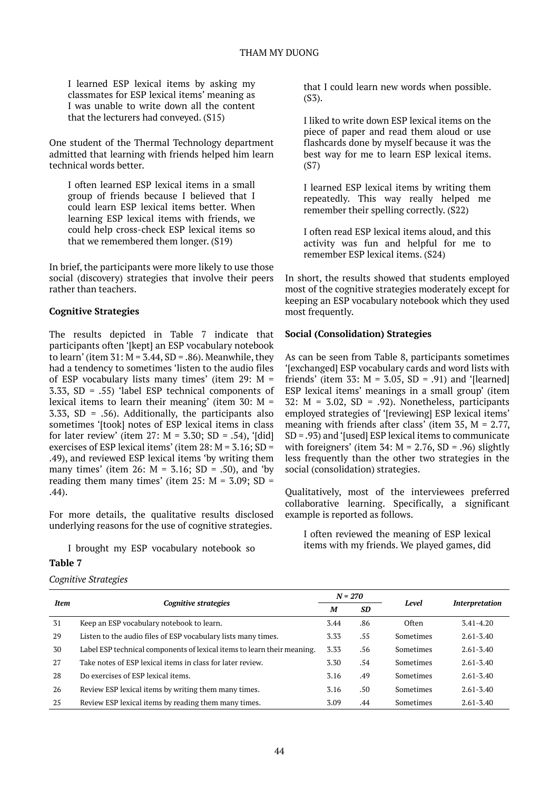I learned ESP lexical items by asking my classmates for ESP lexical items' meaning as I was unable to write down all the content that the lecturers had conveyed. (S15)

One student of the Thermal Technology department admitted that learning with friends helped him learn technical words better.

I often learned ESP lexical items in a small group of friends because I believed that I could learn ESP lexical items better. When learning ESP lexical items with friends, we could help cross-check ESP lexical items so that we remembered them longer. (S19)

In brief, the participants were more likely to use those social (discovery) strategies that involve their peers rather than teachers.

## **Cognitive Strategies**

The results depicted in Table 7 indicate that participants often '[kept] an ESP vocabulary notebook to learn' (item  $31$ :  $M = 3.44$ , SD = .86). Meanwhile, they had a tendency to sometimes 'listen to the audio files of ESP vocabulary lists many times' (item 29: M = 3.33, SD = .55) 'label ESP technical components of lexical items to learn their meaning' (item 30: M = 3.33,  $SD = .56$ ). Additionally, the participants also sometimes '[took] notes of ESP lexical items in class for later review' (item 27:  $M = 3.30$ ; SD = .54), '[did] exercises of ESP lexical items' (item  $28$ : M =  $3.16$ : SD = .49), and reviewed ESP lexical items 'by writing them many times' (item 26:  $M = 3.16$ ; SD = .50), and 'by reading them many times' (item 25:  $M = 3.09$ ; SD = .44).

For more details, the qualitative results disclosed underlying reasons for the use of cognitive strategies.

I brought my ESP vocabulary notebook so

## **Table 7**

*Cognitive Strategies*

that I could learn new words when possible. (S3).

I liked to write down ESP lexical items on the piece of paper and read them aloud or use flashcards done by myself because it was the best way for me to learn ESP lexical items. (S7)

I learned ESP lexical items by writing them repeatedly. This way really helped me remember their spelling correctly. (S22)

I often read ESP lexical items aloud, and this activity was fun and helpful for me to remember ESP lexical items. (S24)

In short, the results showed that students employed most of the cognitive strategies moderately except for keeping an ESP vocabulary notebook which they used most frequently.

## **Social (Consolidation) Strategies**

As can be seen from Table 8, participants sometimes '[exchanged] ESP vocabulary cards and word lists with friends' (item 33:  $M = 3.05$ ,  $SD = .91$ ) and '[learned] ESP lexical items' meanings in a small group' (item 32:  $M = 3.02$ ,  $SD = .92$ ). Nonetheless, participants employed strategies of '[reviewing] ESP lexical items' meaning with friends after class' (item  $35$ ,  $M = 2.77$ , SD = .93) and '[used] ESP lexical items to communicate with foreigners' (item  $34$ : M = 2.76, SD = .96) slightly less frequently than the other two strategies in the social (consolidation) strategies.

Qualitatively, most of the interviewees preferred collaborative learning. Specifically, a significant example is reported as follows.

I often reviewed the meaning of ESP lexical items with my friends. We played games, did

| <b>Item</b> |                                                                         | $N = 270$ |           |           |                       |
|-------------|-------------------------------------------------------------------------|-----------|-----------|-----------|-----------------------|
|             | Cognitive strategies                                                    |           | <b>SD</b> | Level     | <i>Interpretation</i> |
| 31          | Keep an ESP vocabulary notebook to learn.                               | 3.44      | .86       | Often     | $3.41 - 4.20$         |
| 29          | Listen to the audio files of ESP vocabulary lists many times.           | 3.33      | .55       | Sometimes | $2.61 - 3.40$         |
| 30          | Label ESP technical components of lexical items to learn their meaning. | 3.33      | .56       | Sometimes | $2.61 - 3.40$         |
| 27          | Take notes of ESP lexical items in class for later review.              | 3.30      | .54       | Sometimes | $2.61 - 3.40$         |
| 28          | Do exercises of ESP lexical items.                                      | 3.16      | .49       | Sometimes | $2.61 - 3.40$         |
| 26          | Review ESP lexical items by writing them many times.                    | 3.16      | .50       | Sometimes | $2.61 - 3.40$         |
| 25          | Review ESP lexical items by reading them many times.                    | 3.09      | .44       | Sometimes | $2.61 - 3.40$         |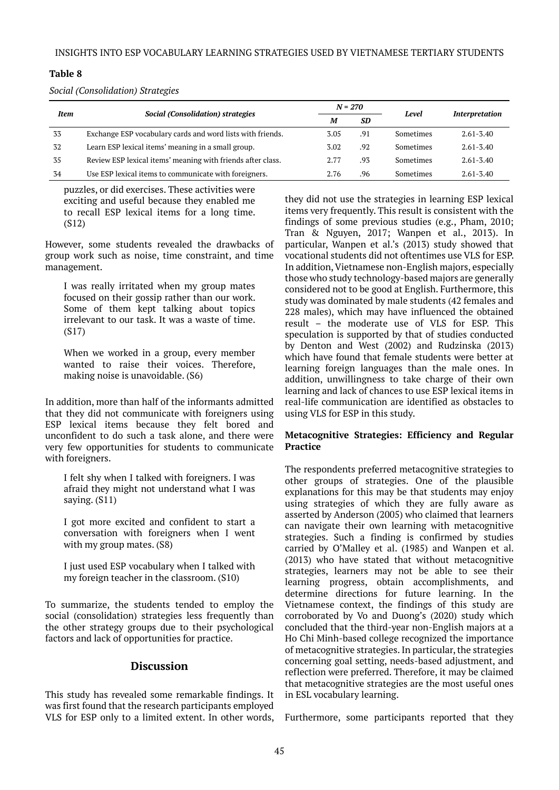|  | Social (Consolidation) Strategies |
|--|-----------------------------------|
|  |                                   |

| Item |                                                             | $N = 270$ |           | Level     | <b>Interpretation</b> |
|------|-------------------------------------------------------------|-----------|-----------|-----------|-----------------------|
|      | <b>Social (Consolidation) strategies</b>                    |           | <b>SD</b> |           |                       |
| 33   | Exchange ESP vocabulary cards and word lists with friends.  | 3.05      | .91       | Sometimes | $2.61 - 3.40$         |
| 32   | Learn ESP lexical items' meaning in a small group.          | 3.02      | .92       | Sometimes | $2.61 - 3.40$         |
| 35   | Review ESP lexical items' meaning with friends after class. | 2.77      | .93       | Sometimes | $2.61 - 3.40$         |
| 34   | Use ESP lexical items to communicate with foreigners.       | 2.76      | .96       | Sometimes | $2.61 - 3.40$         |

puzzles, or did exercises. These activities were exciting and useful because they enabled me to recall ESP lexical items for a long time. (S12)

However, some students revealed the drawbacks of group work such as noise, time constraint, and time management.

I was really irritated when my group mates focused on their gossip rather than our work. Some of them kept talking about topics irrelevant to our task. It was a waste of time. (S17)

When we worked in a group, every member wanted to raise their voices. Therefore, making noise is unavoidable. (S6)

In addition, more than half of the informants admitted that they did not communicate with foreigners using ESP lexical items because they felt bored and unconfident to do such a task alone, and there were very few opportunities for students to communicate with foreigners.

I felt shy when I talked with foreigners. I was afraid they might not understand what I was saying. (S11)

I got more excited and confident to start a conversation with foreigners when I went with my group mates. (S8)

I just used ESP vocabulary when I talked with my foreign teacher in the classroom. (S10)

To summarize, the students tended to employ the social (consolidation) strategies less frequently than the other strategy groups due to their psychological factors and lack of opportunities for practice.

# **Discussion**

This study has revealed some remarkable findings. It was first found that the research participants employed VLS for ESP only to a limited extent. In other words, they did not use the strategies in learning ESP lexical items very frequently. This result is consistent with the findings of some previous studies (e.g., Pham, 2010; Tran & Nguyen, 2017; Wanpen et al., 2013). In particular, Wanpen et al.'s (2013) study showed that vocational students did not oftentimes use VLS for ESP. In addition, Vietnamese non-English majors, especially those who study technology-based majors are generally considered not to be good at English. Furthermore, this study was dominated by male students (42 females and 228 males), which may have influenced the obtained result – the moderate use of VLS for ESP. This speculation is supported by that of studies conducted by Denton and West (2002) and Rudzinska (2013) which have found that female students were better at learning foreign languages than the male ones. In addition, unwillingness to take charge of their own learning and lack of chances to use ESP lexical items in real-life communication are identified as obstacles to using VLS for ESP in this study.

## **Metacognitive Strategies: Efficiency and Regular Practice**

The respondents preferred metacognitive strategies to other groups of strategies. One of the plausible explanations for this may be that students may enjoy using strategies of which they are fully aware as asserted by Anderson (2005) who claimed that learners can navigate their own learning with metacognitive strategies. Such a finding is confirmed by studies carried by O'Malley et al. (1985) and Wanpen et al. (2013) who have stated that without metacognitive strategies, learners may not be able to see their learning progress, obtain accomplishments, and determine directions for future learning. In the Vietnamese context, the findings of this study are corroborated by Vo and Duong's (2020) study which concluded that the third-year non-English majors at a Ho Chi Minh-based college recognized the importance of metacognitive strategies. In particular, the strategies concerning goal setting, needs-based adjustment, and reflection were preferred. Therefore, it may be claimed that metacognitive strategies are the most useful ones in ESL vocabulary learning.

Furthermore, some participants reported that they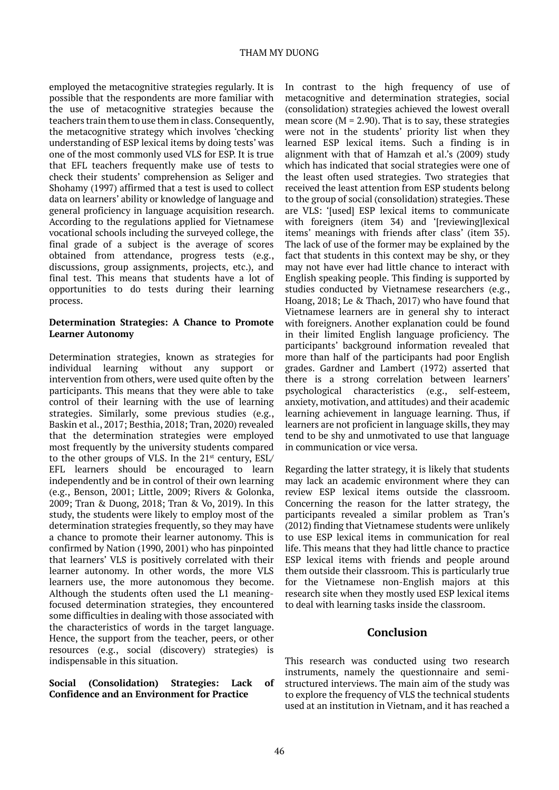employed the metacognitive strategies regularly. It is possible that the respondents are more familiar with the use of metacognitive strategies because the teachers train them to use them in class. Consequently, the metacognitive strategy which involves 'checking understanding of ESP lexical items by doing tests' was one of the most commonly used VLS for ESP. It is true that EFL teachers frequently make use of tests to check their students' comprehension as Seliger and Shohamy (1997) affirmed that a test is used to collect data on learners' ability or knowledge of language and general proficiency in language acquisition research. According to the regulations applied for Vietnamese vocational schools including the surveyed college, the final grade of a subject is the average of scores obtained from attendance, progress tests (e.g., discussions, group assignments, projects, etc.), and final test. This means that students have a lot of opportunities to do tests during their learning process.

#### **Determination Strategies: A Chance to Promote Learner Autonomy**

Determination strategies, known as strategies for individual learning without any support or intervention from others, were used quite often by the participants. This means that they were able to take control of their learning with the use of learning strategies. Similarly, some previous studies (e.g., Baskin et al., 2017; Besthia, 2018; Tran, 2020) revealed that the determination strategies were employed most frequently by the university students compared to the other groups of VLS. In the 21st century, ESL/ EFL learners should be encouraged to learn independently and be in control of their own learning (e.g., Benson, 2001; Little, 2009; Rivers & Golonka, 2009; Tran & Duong, 2018; Tran & Vo, 2019). In this study, the students were likely to employ most of the determination strategies frequently, so they may have a chance to promote their learner autonomy. This is confirmed by Nation (1990, 2001) who has pinpointed that learners' VLS is positively correlated with their learner autonomy. In other words, the more VLS learners use, the more autonomous they become. Although the students often used the L1 meaningfocused determination strategies, they encountered some difficulties in dealing with those associated with the characteristics of words in the target language. Hence, the support from the teacher, peers, or other resources (e.g., social (discovery) strategies) is indispensable in this situation.

#### **Social (Consolidation) Strategies: Lack of Confidence and an Environment for Practice**

In contrast to the high frequency of use of metacognitive and determination strategies, social (consolidation) strategies achieved the lowest overall mean score ( $M = 2.90$ ). That is to say, these strategies were not in the students' priority list when they learned ESP lexical items. Such a finding is in alignment with that of Hamzah et al.'s (2009) study which has indicated that social strategies were one of the least often used strategies. Two strategies that received the least attention from ESP students belong to the group of social (consolidation) strategies. These are VLS: '[used] ESP lexical items to communicate with foreigners (item 34) and '[reviewing]lexical items' meanings with friends after class' (item 35). The lack of use of the former may be explained by the fact that students in this context may be shy, or they may not have ever had little chance to interact with English speaking people. This finding is supported by studies conducted by Vietnamese researchers (e.g., Hoang, 2018; Le & Thach, 2017) who have found that Vietnamese learners are in general shy to interact with foreigners. Another explanation could be found in their limited English language proficiency. The participants' background information revealed that more than half of the participants had poor English grades. Gardner and Lambert (1972) asserted that there is a strong correlation between learners' psychological characteristics (e.g., self-esteem, anxiety, motivation, and attitudes) and their academic learning achievement in language learning. Thus, if learners are not proficient in language skills, they may tend to be shy and unmotivated to use that language in communication or vice versa.

Regarding the latter strategy, it is likely that students may lack an academic environment where they can review ESP lexical items outside the classroom. Concerning the reason for the latter strategy, the participants revealed a similar problem as Tran's (2012) finding that Vietnamese students were unlikely to use ESP lexical items in communication for real life. This means that they had little chance to practice ESP lexical items with friends and people around them outside their classroom. This is particularly true for the Vietnamese non-English majors at this research site when they mostly used ESP lexical items to deal with learning tasks inside the classroom.

# **Conclusion**

This research was conducted using two research instruments, namely the questionnaire and semistructured interviews. The main aim of the study was to explore the frequency of VLS the technical students used at an institution in Vietnam, and it has reached a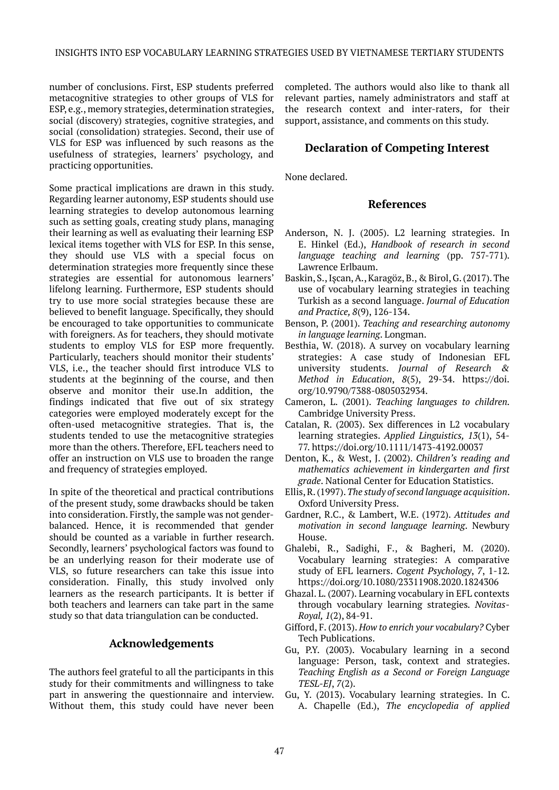number of conclusions. First, ESP students preferred metacognitive strategies to other groups of VLS for ESP, e.g., memory strategies, determination strategies, social (discovery) strategies, cognitive strategies, and social (consolidation) strategies. Second, their use of VLS for ESP was influenced by such reasons as the usefulness of strategies, learners' psychology, and practicing opportunities.

Some practical implications are drawn in this study. Regarding learner autonomy, ESP students should use learning strategies to develop autonomous learning such as setting goals, creating study plans, managing their learning as well as evaluating their learning ESP lexical items together with VLS for ESP. In this sense, they should use VLS with a special focus on determination strategies more frequently since these strategies are essential for autonomous learners' lifelong learning. Furthermore, ESP students should try to use more social strategies because these are believed to benefit language. Specifically, they should be encouraged to take opportunities to communicate with foreigners. As for teachers, they should motivate students to employ VLS for ESP more frequently. Particularly, teachers should monitor their students' VLS, i.e., the teacher should first introduce VLS to students at the beginning of the course, and then observe and monitor their use.In addition, the findings indicated that five out of six strategy categories were employed moderately except for the often-used metacognitive strategies. That is, the students tended to use the metacognitive strategies more than the others. Therefore, EFL teachers need to offer an instruction on VLS use to broaden the range and frequency of strategies employed.

In spite of the theoretical and practical contributions of the present study, some drawbacks should be taken into consideration. Firstly, the sample was not genderbalanced. Hence, it is recommended that gender should be counted as a variable in further research. Secondly, learners' psychological factors was found to be an underlying reason for their moderate use of VLS, so future researchers can take this issue into consideration. Finally, this study involved only learners as the research participants. It is better if both teachers and learners can take part in the same study so that data triangulation can be conducted.

# **Acknowledgements**

The authors feel grateful to all the participants in this study for their commitments and willingness to take part in answering the questionnaire and interview. Without them, this study could have never been

completed. The authors would also like to thank all relevant parties, namely administrators and staff at the research context and inter-raters, for their support, assistance, and comments on this study.

# **Declaration of Competing Interest**

None declared.

## **References**

- Anderson, N. J. (2005). L2 learning strategies. In E. Hinkel (Ed.), *Handbook of research in second language teaching and learning* (pp. 757-771)*.*  Lawrence Erlbaum.
- Baskin, S., Işcan, A., Karagöz, B., & Birol, G. (2017). The use of vocabulary learning strategies in teaching Turkish as a second language. *Journal of Education and Practice, 8*(9), 126-134.
- Benson, P. (2001). *Teaching and researching autonomy in language learning*. Longman.
- Besthia, W. (2018). A survey on vocabulary learning strategies: A case study of Indonesian EFL university students. *Journal of Research & Method in Education*, *8*(5), 29-34. https://doi. org/10.9790/7388-0805032934.
- Cameron, L. (2001). *Teaching languages to children.*  Cambridge University Press.
- Catalan, R. (2003). Sex differences in L2 vocabulary learning strategies. *Applied Linguistics, 13*(1), 54- 77.<https://doi.org/10.1111/1473-4192.00037>
- Denton, K., & West, J. (2002). *Children's reading and mathematics achievement in kindergarten and first grade*. National Center for Education Statistics.
- Ellis, R. (1997). *The study of second language acquisition*. Oxford University Press.
- Gardner, R.C., & Lambert, W.E. (1972). *Attitudes and motivation in second language learning*. Newbury House.
- Ghalebi, R., Sadighi, F., & Bagheri, M. (2020). Vocabulary learning strategies: A comparative study of EFL learners. *Cogent Psychology*, *7*, 1-12*.*  https://doi.org/10.1080/23311908.2020.1824306
- Ghazal. L. (2007). Learning vocabulary in EFL contexts through vocabulary learning strategies*. Novitas-Royal, 1*(2), 84-91.
- Gifford, F. (2013). *How to enrich your vocabulary?* Cyber Tech Publications.
- Gu, P.Y. (2003). Vocabulary learning in a second language: Person, task, context and strategies. *Teaching English as a Second or Foreign Language TESL-EJ*, *7*(2).
- Gu, Y. (2013). Vocabulary learning strategies. In C. A. Chapelle (Ed.), *The encyclopedia of applied*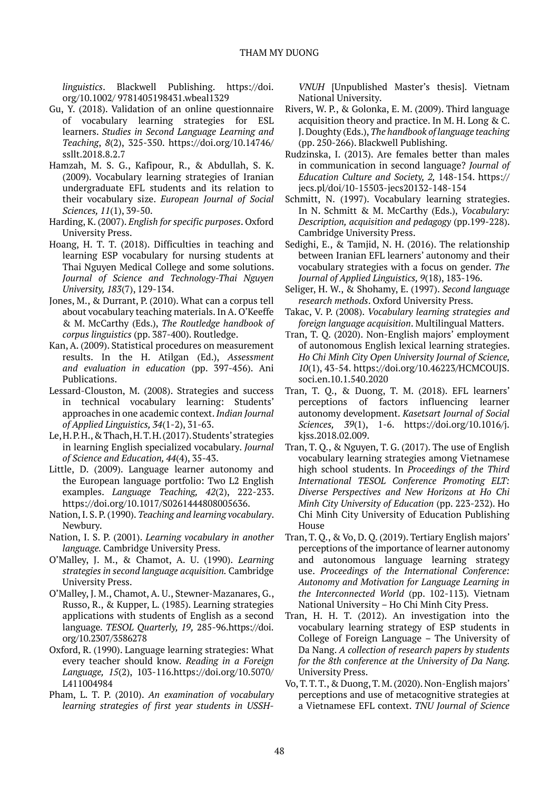*linguistics*. Blackwell Publishing. https://doi. org/10.1002/ 9781405198431.wbeal1329

- Gu, Y. (2018). Validation of an online questionnaire of vocabulary learning strategies for ESL learners. *Studies in Second Language Learning and Teaching*, *8*(2), 325-350. https://doi.org/10.14746/ ssllt.2018.8.2.7
- Hamzah, M. S. G., Kafipour, R., & Abdullah, S. K. (2009). Vocabulary learning strategies of Iranian undergraduate EFL students and its relation to their vocabulary size. *European Journal of Social Sciences, 11*(1), 39-50.
- Harding, K. (2007). *English for specific purposes*. Oxford University Press.
- Hoang, H. T. T. (2018). Difficulties in teaching and learning ESP vocabulary for nursing students at Thai Nguyen Medical College and some solutions. *Journal of Science and Technology-Thai Nguyen University, 183*(7), 129-134.
- Jones, M., & Durrant, P. (2010). What can a corpus tell about vocabulary teaching materials. In A. O'Keeffe & M. McCarthy (Eds.), *The Routledge handbook of corpus linguistics* (pp. 387-400). Routledge.
- Kan, A. (2009). Statistical procedures on measurement results. In the H. Atilgan (Ed.), *Assessment and evaluation in education* (pp. 397-456). Ani Publications.
- Lessard-Clouston, M. (2008). Strategies and success in technical vocabulary learning: Students' approaches in one academic context. *Indian Journal of Applied Linguistics, 34*(1-2), 31-63.
- Le, H. P. H., & Thach, H. T. H. (2017). Students' strategies in learning English specialized vocabulary. *Journal of Science and Education, 44*(4), 35-43.
- Little, D. (2009). Language learner autonomy and the European language portfolio: Two L2 English examples. *Language Teaching, 42*(2), 222-233. [https://doi.org/10.1017/S0261444808005636.](https://doi.org/10.1017/S0261444808005636)
- Nation, I. S. P. (1990). *Teaching and learning vocabulary*. Newbury.
- Nation, I. S. P. (2001). *Learning vocabulary in another language.* Cambridge University Press.
- O'Malley, J. M., & Chamot, A. U. (1990). *Learning strategies in second language acquisition.* Cambridge University Press.
- O'Malley, J. M., Chamot, A. U., Stewner-Mazanares, G., Russo, R., & Kupper, L. (1985). Learning strategies applications with students of English as a second language*. TESOL Quarterly, 19,* 285-96.[https://doi.](https://doi.org/10.2307/3586278) [org/10.2307/3586278](https://doi.org/10.2307/3586278)
- Oxford, R. (1990). Language learning strategies: What every teacher should know*. Reading in a Foreign Language, 15*(2), 103-116[.https://doi.org/10.5070/](https://doi.org/10.5070/L411004984) [L411004984](https://doi.org/10.5070/L411004984)
- Pham, L. T. P. (2010). *An examination of vocabulary learning strategies of first year students in USSH-*

*VNUH* [Unpublished Master's thesis]. Vietnam National University.

- Rivers, W. P., & Golonka, E. M. (2009). Third language acquisition theory and practice. In M. H. Long & C. J. Doughty (Eds.), *The handbook of language teaching*  (pp. 250-266). Blackwell Publishing.
- Rudzinska, I. (2013). Are females better than males in communication in second language? *Journal of Education Culture and Society, 2,* 148-154. [https://](https://jecs.pl/doi/10-15503-jecs20132-148-154/) [jecs.pl/doi/10-15503-jecs20132-148-154](https://jecs.pl/doi/10-15503-jecs20132-148-154/)
- Schmitt, N. (1997). Vocabulary learning strategies. In N. Schmitt & M. McCarthy (Eds.), *Vocabulary: Description, acquisition and pedagogy* (pp.199-228). Cambridge University Press.
- Sedighi, E., & Tamjid, N. H. (2016). The relationship between Iranian EFL learners' autonomy and their vocabulary strategies with a focus on gender. *The Journal of Applied Linguistics, 9*(18), 183-196.
- Seliger, H. W., & Shohamy, E. (1997). *Second language research methods*. Oxford University Press.
- Takac, V. P. (2008). *Vocabulary learning strategies and foreign language acquisition*. Multilingual Matters.
- Tran, T. Q. (2020). Non-English majors' employment of autonomous English lexical learning strategies. *Ho Chi Minh City Open University Journal of Science, 10*(1), 43-54. https://doi.org[/10.46223/HCMCOUJS.](https://doi.org/10.46223/HCMCOUJS.soci.en.10.1.540.2020) [soci.en.10.1.540.2020](https://doi.org/10.46223/HCMCOUJS.soci.en.10.1.540.2020)
- Tran, T. Q., & Duong, T. M. (2018). EFL learners' perceptions of factors influencing learner autonomy development. *Kasetsart Journal of Social Sciences, 39*(1), 1-6. https://doi.org/10.1016/j. kjss.2018.02.009.
- Tran, T. Q., & Nguyen, T. G. (2017). The use of English vocabulary learning strategies among Vietnamese high school students. In *Proceedings of the Third International TESOL Conference Promoting ELT: Diverse Perspectives and New Horizons at Ho Chi Minh City University of Education* (pp. 223-232). Ho Chi Minh City University of Education Publishing House
- Tran, T. Q., & Vo, D. Q. (2019). Tertiary English majors' perceptions of the importance of learner autonomy and autonomous language learning strategy use. *Proceedings of the International Conference: Autonomy and Motivation for Language Learning in the Interconnected World* (pp. 102-113)*.* Vietnam National University – Ho Chi Minh City Press.
- Tran, H. H. T. (2012). An investigation into the vocabulary learning strategy of ESP students in College of Foreign Language – The University of Da Nang. *A collection of research papers by students for the 8th conference at the University of Da Nang.*  University Press.
- Vo, T. T. T., & Duong, T. M. (2020). Non-English majors' perceptions and use of metacognitive strategies at a Vietnamese EFL context. *TNU Journal of Science*